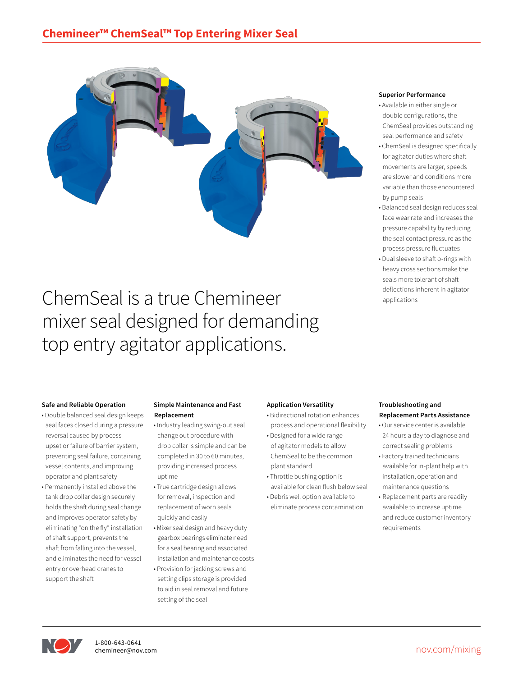

# ChemSeal is a true Chemineer mixer seal designed for demanding top entry agitator applications.

# **Superior Performance**

- Available in either single or double configurations, the ChemSeal provides outstanding seal performance and safety
- ChemSeal is designed specifically for agitator duties where shaft movements are larger, speeds are slower and conditions more variable than those encountered by pump seals
- Balanced seal design reduces seal face wear rate and increases the pressure capability by reducing the seal contact pressure as the process pressure fluctuates
- Dual sleeve to shaft o-rings with heavy cross sections make the seals more tolerant of shaft deflections inherent in agitator applications

# **Safe and Reliable Operation**

- Double balanced seal design keeps seal faces closed during a pressure reversal caused by process upset or failure of barrier system, preventing seal failure, containing vessel contents, and improving operator and plant safety
- Permanently installed above the tank drop collar design securely holds the shaft during seal change and improves operator safety by eliminating "on the fly" installation of shaft support, prevents the shaft from falling into the vessel, and eliminates the need for vessel entry or overhead cranes to support the shaft

# **Simple Maintenance and Fast Replacement**

- Industry leading swing-out seal change out procedure with drop collar is simple and can be completed in 30 to 60 minutes, providing increased process uptime
- True cartridge design allows for removal, inspection and replacement of worn seals quickly and easily
- Mixer seal design and heavy duty gearbox bearings eliminate need for a seal bearing and associated installation and maintenance costs
- Provision for jacking screws and setting clips storage is provided to aid in seal removal and future setting of the seal

# **Application Versatility**

- Bidirectional rotation enhances process and operational flexibility
- Designed for a wide range of agitator models to allow ChemSeal to be the common
- plant standard • Throttle bushing option is
- available for clean flush below seal • Debris well option available to
- eliminate process contamination

# **Troubleshooting and Replacement Parts Assistance**

- Our service center is available 24 hours a day to diagnose and correct sealing problems
- Factory trained technicians available for in-plant help with installation, operation and maintenance questions
- Replacement parts are readily available to increase uptime and reduce customer inventory requirements